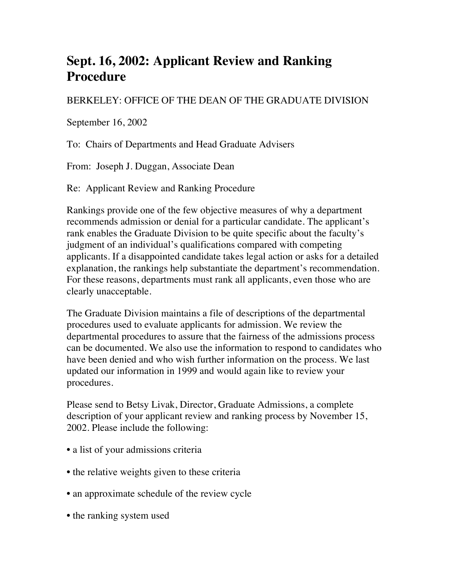## **Sept. 16, 2002: Applicant Review and Ranking Procedure**

## BERKELEY: OFFICE OF THE DEAN OF THE GRADUATE DIVISION

September 16, 2002

To: Chairs of Departments and Head Graduate Advisers

From: Joseph J. Duggan, Associate Dean

Re: Applicant Review and Ranking Procedure

Rankings provide one of the few objective measures of why a department recommends admission or denial for a particular candidate. The applicant's rank enables the Graduate Division to be quite specific about the faculty's judgment of an individual's qualifications compared with competing applicants. If a disappointed candidate takes legal action or asks for a detailed explanation, the rankings help substantiate the department's recommendation. For these reasons, departments must rank all applicants, even those who are clearly unacceptable.

The Graduate Division maintains a file of descriptions of the departmental procedures used to evaluate applicants for admission. We review the departmental procedures to assure that the fairness of the admissions process can be documented. We also use the information to respond to candidates who have been denied and who wish further information on the process. We last updated our information in 1999 and would again like to review your procedures.

Please send to Betsy Livak, Director, Graduate Admissions, a complete description of your applicant review and ranking process by November 15, 2002. Please include the following:

- a list of your admissions criteria
- the relative weights given to these criteria
- an approximate schedule of the review cycle
- the ranking system used